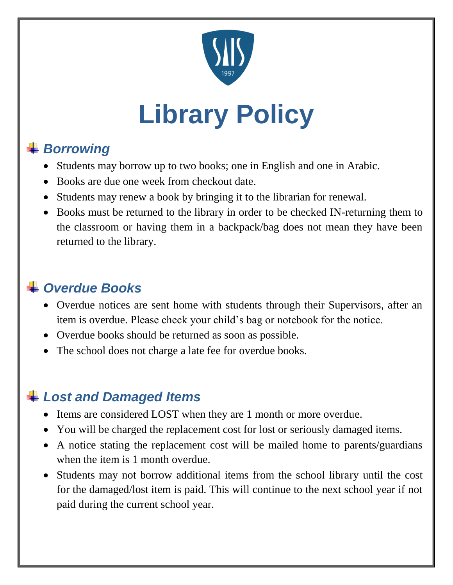

# **Library Policy**

# *Borrowing*

- Students may borrow up to two books; one in English and one in Arabic.
- Books are due one week from checkout date.
- Students may renew a book by bringing it to the librarian for renewal.
- Books must be returned to the library in order to be checked IN-returning them to the classroom or having them in a backpack/bag does not mean they have been returned to the library.

#### *Overdue Books*

- Overdue notices are sent home with students through their Supervisors, after an item is overdue. Please check your child's bag or notebook for the notice.
- Overdue books should be returned as soon as possible.
- The school does not charge a late fee for overdue books.

## *Lost and Damaged Items*

- Items are considered LOST when they are 1 month or more overdue.
- You will be charged the replacement cost for lost or seriously damaged items.
- A notice stating the replacement cost will be mailed home to parents/guardians when the item is 1 month overdue.
- Students may not borrow additional items from the school library until the cost for the damaged/lost item is paid. This will continue to the next school year if not paid during the current school year.